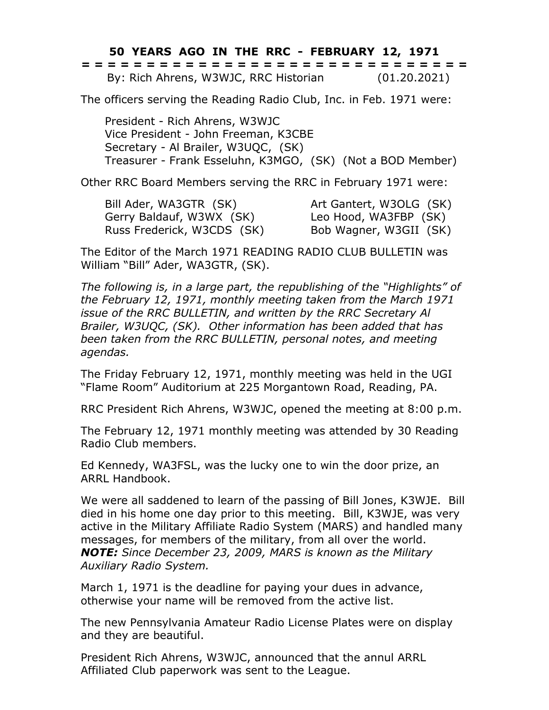## **50 YEARS AGO IN THE RRC - FEBRUARY 12, 1971**

|  |  |  |                                       |  |  |  |  |  |  |  |  |  |  | ------------------------------<br>------------------------------ |  |
|--|--|--|---------------------------------------|--|--|--|--|--|--|--|--|--|--|------------------------------------------------------------------|--|
|  |  |  | By: Rich Ahrens, W3WJC, RRC Historian |  |  |  |  |  |  |  |  |  |  | (01.20.2021)                                                     |  |

The officers serving the Reading Radio Club, Inc. in Feb. 1971 were:

President - Rich Ahrens, W3WJC Vice President - John Freeman, K3CBE Secretary - Al Brailer, W3UQC, (SK) Treasurer - Frank Esseluhn, K3MGO, (SK) (Not a BOD Member)

Other RRC Board Members serving the RRC in February 1971 were:

Bill Ader, WA3GTR (SK) Art Gantert, W3OLG (SK) Gerry Baldauf, W3WX (SK) Leo Hood, WA3FBP (SK) Russ Frederick, W3CDS (SK) Bob Wagner, W3GII (SK)

The Editor of the March 1971 READING RADIO CLUB BULLETIN was William "Bill" Ader, WA3GTR, (SK).

*The following is, in a large part, the republishing of the "Highlights" of the February 12, 1971, monthly meeting taken from the March 1971 issue of the RRC BULLETIN, and written by the RRC Secretary Al Brailer, W3UQC, (SK). Other information has been added that has been taken from the RRC BULLETIN, personal notes, and meeting agendas.*

The Friday February 12, 1971, monthly meeting was held in the UGI "Flame Room" Auditorium at 225 Morgantown Road, Reading, PA.

RRC President Rich Ahrens, W3WJC, opened the meeting at 8:00 p.m.

The February 12, 1971 monthly meeting was attended by 30 Reading Radio Club members.

Ed Kennedy, WA3FSL, was the lucky one to win the door prize, an ARRL Handbook.

We were all saddened to learn of the passing of Bill Jones, K3WJE. Bill died in his home one day prior to this meeting. Bill, K3WJE, was very active in the Military Affiliate Radio System (MARS) and handled many messages, for members of the military, from all over the world. *NOTE: Since December 23, 2009, MARS is known as the Military Auxiliary Radio System.*

March 1, 1971 is the deadline for paying your dues in advance, otherwise your name will be removed from the active list.

The new Pennsylvania Amateur Radio License Plates were on display and they are beautiful.

President Rich Ahrens, W3WJC, announced that the annul ARRL Affiliated Club paperwork was sent to the League.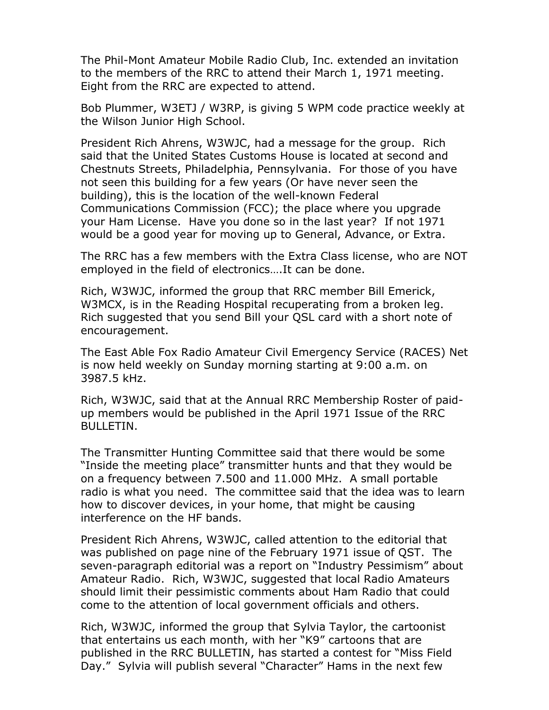The Phil-Mont Amateur Mobile Radio Club, Inc. extended an invitation to the members of the RRC to attend their March 1, 1971 meeting. Eight from the RRC are expected to attend.

Bob Plummer, W3ETJ / W3RP, is giving 5 WPM code practice weekly at the Wilson Junior High School.

President Rich Ahrens, W3WJC, had a message for the group. Rich said that the United States Customs House is located at second and Chestnuts Streets, Philadelphia, Pennsylvania. For those of you have not seen this building for a few years (Or have never seen the building), this is the location of the well-known Federal Communications Commission (FCC); the place where you upgrade your Ham License. Have you done so in the last year? If not 1971 would be a good year for moving up to General, Advance, or Extra.

The RRC has a few members with the Extra Class license, who are NOT employed in the field of electronics….It can be done.

Rich, W3WJC, informed the group that RRC member Bill Emerick, W3MCX, is in the Reading Hospital recuperating from a broken leg. Rich suggested that you send Bill your QSL card with a short note of encouragement.

The East Able Fox Radio Amateur Civil Emergency Service (RACES) Net is now held weekly on Sunday morning starting at 9:00 a.m. on 3987.5 kHz.

Rich, W3WJC, said that at the Annual RRC Membership Roster of paidup members would be published in the April 1971 Issue of the RRC BULLETIN.

The Transmitter Hunting Committee said that there would be some "Inside the meeting place" transmitter hunts and that they would be on a frequency between 7.500 and 11.000 MHz. A small portable radio is what you need. The committee said that the idea was to learn how to discover devices, in your home, that might be causing interference on the HF bands.

President Rich Ahrens, W3WJC, called attention to the editorial that was published on page nine of the February 1971 issue of QST. The seven-paragraph editorial was a report on "Industry Pessimism" about Amateur Radio. Rich, W3WJC, suggested that local Radio Amateurs should limit their pessimistic comments about Ham Radio that could come to the attention of local government officials and others.

Rich, W3WJC, informed the group that Sylvia Taylor, the cartoonist that entertains us each month, with her "K9" cartoons that are published in the RRC BULLETIN, has started a contest for "Miss Field Day." Sylvia will publish several "Character" Hams in the next few